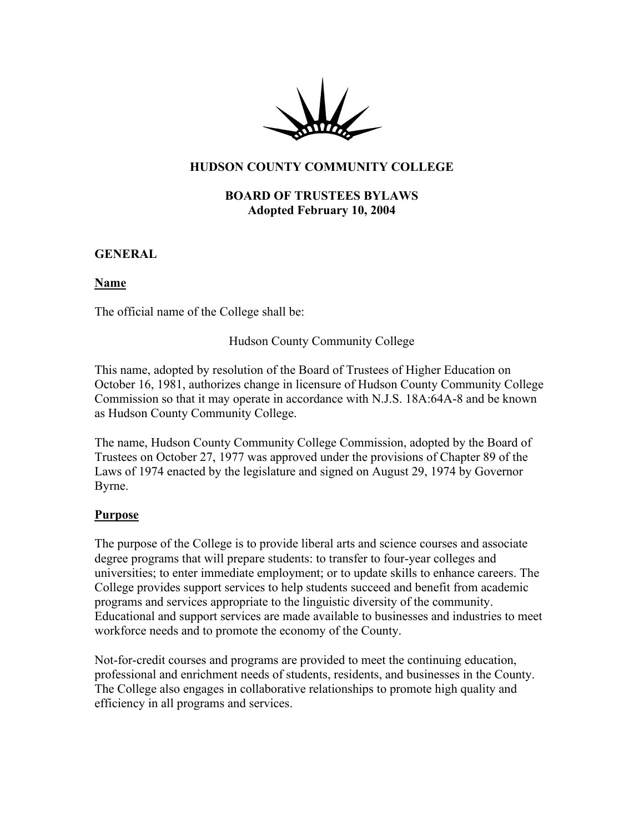

## **HUDSON COUNTY COMMUNITY COLLEGE**

#### **BOARD OF TRUSTEES BYLAWS Adopted February 10, 2004**

**GENERAL**

#### **Name**

The official name of the College shall be:

Hudson County Community College

This name, adopted by resolution of the Board of Trustees of Higher Education on October 16, 1981, authorizes change in licensure of Hudson County Community College Commission so that it may operate in accordance with N.J.S. 18A:64A-8 and be known as Hudson County Community College.

The name, Hudson County Community College Commission, adopted by the Board of Trustees on October 27, 1977 was approved under the provisions of Chapter 89 of the Laws of 1974 enacted by the legislature and signed on August 29, 1974 by Governor Byrne.

#### **Purpose**

The purpose of the College is to provide liberal arts and science courses and associate degree programs that will prepare students: to transfer to four-year colleges and universities; to enter immediate employment; or to update skills to enhance careers. The College provides support services to help students succeed and benefit from academic programs and services appropriate to the linguistic diversity of the community. Educational and support services are made available to businesses and industries to meet workforce needs and to promote the economy of the County.

Not-for-credit courses and programs are provided to meet the continuing education, professional and enrichment needs of students, residents, and businesses in the County. The College also engages in collaborative relationships to promote high quality and efficiency in all programs and services.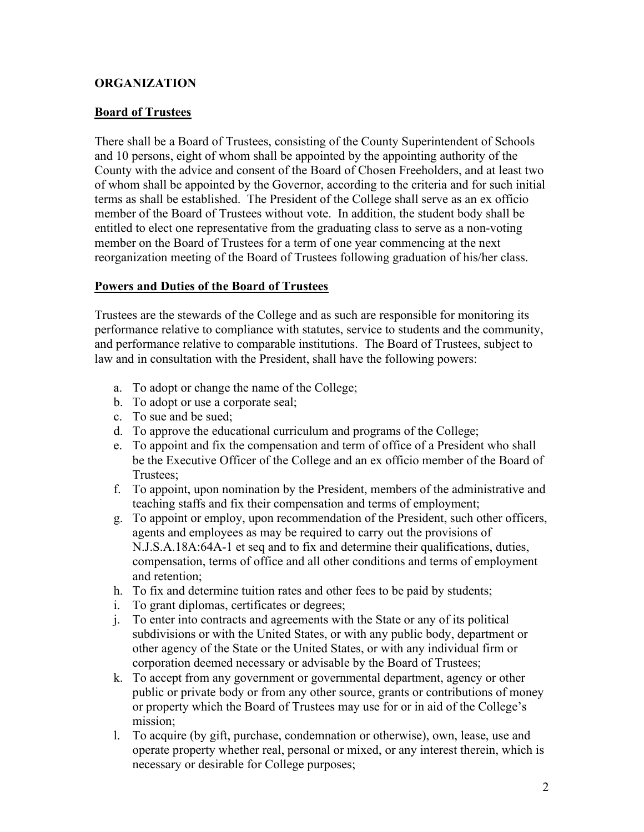## **ORGANIZATION**

#### **Board of Trustees**

There shall be a Board of Trustees, consisting of the County Superintendent of Schools and 10 persons, eight of whom shall be appointed by the appointing authority of the County with the advice and consent of the Board of Chosen Freeholders, and at least two of whom shall be appointed by the Governor, according to the criteria and for such initial terms as shall be established. The President of the College shall serve as an ex officio member of the Board of Trustees without vote. In addition, the student body shall be entitled to elect one representative from the graduating class to serve as a non-voting member on the Board of Trustees for a term of one year commencing at the next reorganization meeting of the Board of Trustees following graduation of his/her class.

### **Powers and Duties of the Board of Trustees**

Trustees are the stewards of the College and as such are responsible for monitoring its performance relative to compliance with statutes, service to students and the community, and performance relative to comparable institutions. The Board of Trustees, subject to law and in consultation with the President, shall have the following powers:

- a. To adopt or change the name of the College;
- b. To adopt or use a corporate seal;
- c. To sue and be sued;
- d. To approve the educational curriculum and programs of the College;
- e. To appoint and fix the compensation and term of office of a President who shall be the Executive Officer of the College and an ex officio member of the Board of Trustees;
- f. To appoint, upon nomination by the President, members of the administrative and teaching staffs and fix their compensation and terms of employment;
- g. To appoint or employ, upon recommendation of the President, such other officers, agents and employees as may be required to carry out the provisions of N.J.S.A.18A:64A-1 et seq and to fix and determine their qualifications, duties, compensation, terms of office and all other conditions and terms of employment and retention;
- h. To fix and determine tuition rates and other fees to be paid by students;
- i. To grant diplomas, certificates or degrees;
- j. To enter into contracts and agreements with the State or any of its political subdivisions or with the United States, or with any public body, department or other agency of the State or the United States, or with any individual firm or corporation deemed necessary or advisable by the Board of Trustees;
- k. To accept from any government or governmental department, agency or other public or private body or from any other source, grants or contributions of money or property which the Board of Trustees may use for or in aid of the College's mission;
- l. To acquire (by gift, purchase, condemnation or otherwise), own, lease, use and operate property whether real, personal or mixed, or any interest therein, which is necessary or desirable for College purposes;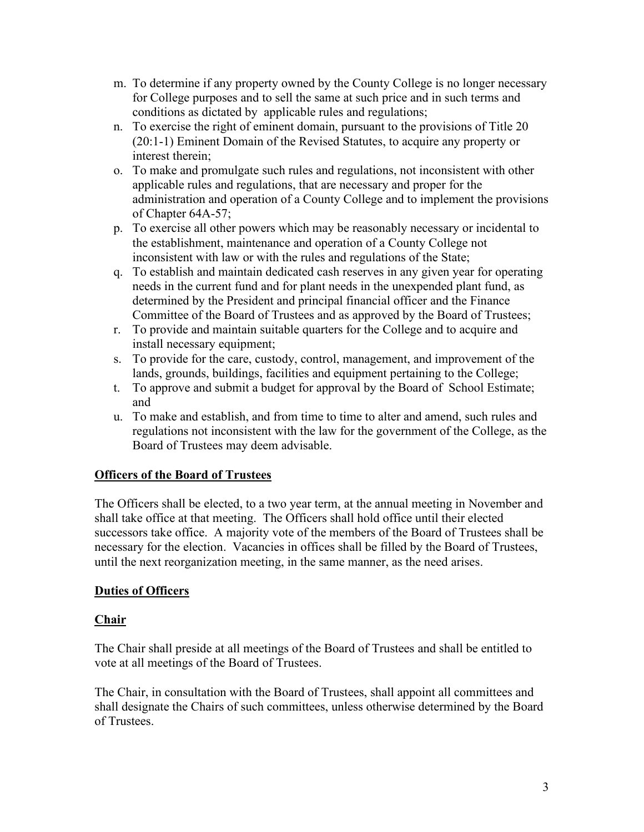- m. To determine if any property owned by the County College is no longer necessary for College purposes and to sell the same at such price and in such terms and conditions as dictated by applicable rules and regulations;
- n. To exercise the right of eminent domain, pursuant to the provisions of Title 20 (20:1-1) Eminent Domain of the Revised Statutes, to acquire any property or interest therein;
- o. To make and promulgate such rules and regulations, not inconsistent with other applicable rules and regulations, that are necessary and proper for the administration and operation of a County College and to implement the provisions of Chapter 64A-57;
- p. To exercise all other powers which may be reasonably necessary or incidental to the establishment, maintenance and operation of a County College not inconsistent with law or with the rules and regulations of the State;
- q. To establish and maintain dedicated cash reserves in any given year for operating needs in the current fund and for plant needs in the unexpended plant fund, as determined by the President and principal financial officer and the Finance Committee of the Board of Trustees and as approved by the Board of Trustees;
- r. To provide and maintain suitable quarters for the College and to acquire and install necessary equipment;
- s. To provide for the care, custody, control, management, and improvement of the lands, grounds, buildings, facilities and equipment pertaining to the College;
- t. To approve and submit a budget for approval by the Board of School Estimate; and
- u. To make and establish, and from time to time to alter and amend, such rules and regulations not inconsistent with the law for the government of the College, as the Board of Trustees may deem advisable.

# **Officers of the Board of Trustees**

The Officers shall be elected, to a two year term, at the annual meeting in November and shall take office at that meeting. The Officers shall hold office until their elected successors take office. A majority vote of the members of the Board of Trustees shall be necessary for the election. Vacancies in offices shall be filled by the Board of Trustees, until the next reorganization meeting, in the same manner, as the need arises.

# **Duties of Officers**

## **Chair**

The Chair shall preside at all meetings of the Board of Trustees and shall be entitled to vote at all meetings of the Board of Trustees.

The Chair, in consultation with the Board of Trustees, shall appoint all committees and shall designate the Chairs of such committees, unless otherwise determined by the Board of Trustees.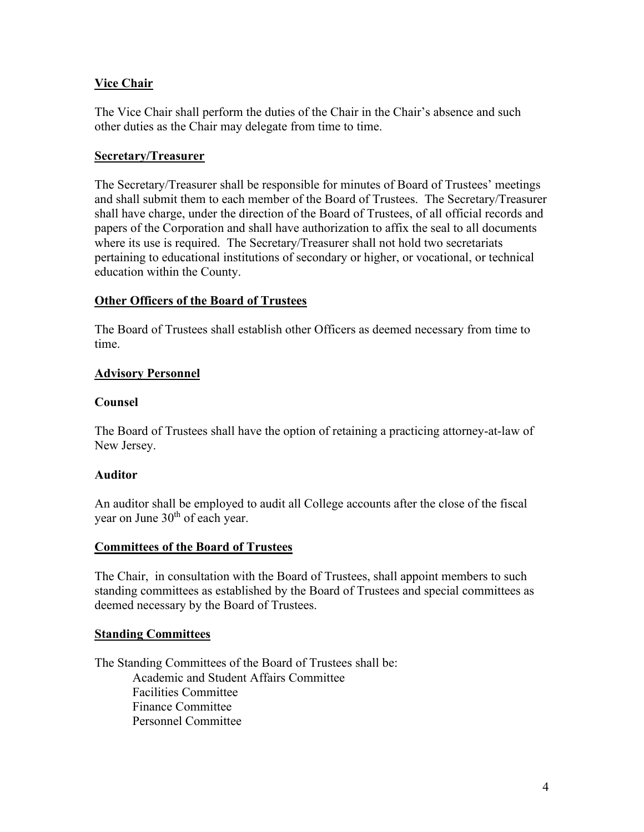## **Vice Chair**

The Vice Chair shall perform the duties of the Chair in the Chair's absence and such other duties as the Chair may delegate from time to time.

### **Secretary/Treasurer**

The Secretary/Treasurer shall be responsible for minutes of Board of Trustees' meetings and shall submit them to each member of the Board of Trustees. The Secretary/Treasurer shall have charge, under the direction of the Board of Trustees, of all official records and papers of the Corporation and shall have authorization to affix the seal to all documents where its use is required. The Secretary/Treasurer shall not hold two secretariats pertaining to educational institutions of secondary or higher, or vocational, or technical education within the County.

### **Other Officers of the Board of Trustees**

The Board of Trustees shall establish other Officers as deemed necessary from time to time.

### **Advisory Personnel**

### **Counsel**

The Board of Trustees shall have the option of retaining a practicing attorney-at-law of New Jersey.

#### **Auditor**

An auditor shall be employed to audit all College accounts after the close of the fiscal year on June  $30<sup>th</sup>$  of each year.

## **Committees of the Board of Trustees**

The Chair, in consultation with the Board of Trustees, shall appoint members to such standing committees as established by the Board of Trustees and special committees as deemed necessary by the Board of Trustees.

#### **Standing Committees**

The Standing Committees of the Board of Trustees shall be: Academic and Student Affairs Committee Facilities Committee Finance Committee Personnel Committee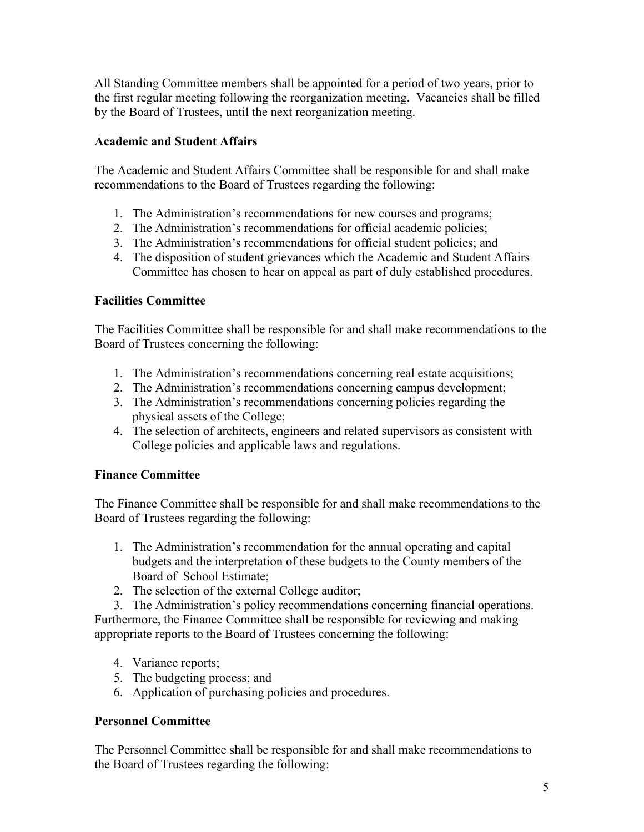All Standing Committee members shall be appointed for a period of two years, prior to the first regular meeting following the reorganization meeting. Vacancies shall be filled by the Board of Trustees, until the next reorganization meeting.

## **Academic and Student Affairs**

The Academic and Student Affairs Committee shall be responsible for and shall make recommendations to the Board of Trustees regarding the following:

- 1. The Administration's recommendations for new courses and programs;
- 2. The Administration's recommendations for official academic policies;
- 3. The Administration's recommendations for official student policies; and
- 4. The disposition of student grievances which the Academic and Student Affairs Committee has chosen to hear on appeal as part of duly established procedures.

# **Facilities Committee**

The Facilities Committee shall be responsible for and shall make recommendations to the Board of Trustees concerning the following:

- 1. The Administration's recommendations concerning real estate acquisitions;
- 2. The Administration's recommendations concerning campus development;
- 3. The Administration's recommendations concerning policies regarding the physical assets of the College;
- 4. The selection of architects, engineers and related supervisors as consistent with College policies and applicable laws and regulations.

# **Finance Committee**

The Finance Committee shall be responsible for and shall make recommendations to the Board of Trustees regarding the following:

- 1. The Administration's recommendation for the annual operating and capital budgets and the interpretation of these budgets to the County members of the Board of School Estimate;
- 2. The selection of the external College auditor;

3. The Administration's policy recommendations concerning financial operations. Furthermore, the Finance Committee shall be responsible for reviewing and making appropriate reports to the Board of Trustees concerning the following:

- 4. Variance reports;
- 5. The budgeting process; and
- 6. Application of purchasing policies and procedures.

# **Personnel Committee**

The Personnel Committee shall be responsible for and shall make recommendations to the Board of Trustees regarding the following: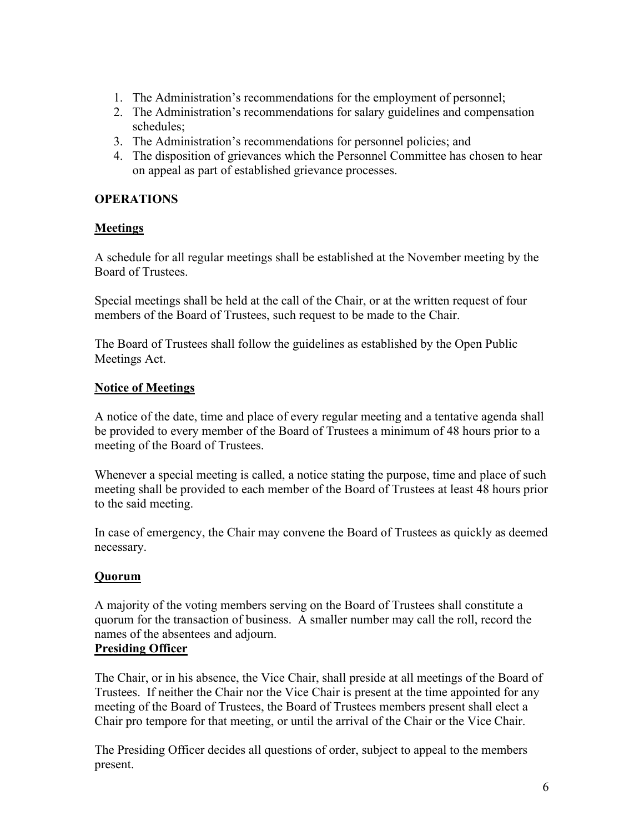- 1. The Administration's recommendations for the employment of personnel;
- 2. The Administration's recommendations for salary guidelines and compensation schedules;
- 3. The Administration's recommendations for personnel policies; and
- 4. The disposition of grievances which the Personnel Committee has chosen to hear on appeal as part of established grievance processes.

# **OPERATIONS**

# **Meetings**

A schedule for all regular meetings shall be established at the November meeting by the Board of Trustees.

Special meetings shall be held at the call of the Chair, or at the written request of four members of the Board of Trustees, such request to be made to the Chair.

The Board of Trustees shall follow the guidelines as established by the Open Public Meetings Act.

## **Notice of Meetings**

A notice of the date, time and place of every regular meeting and a tentative agenda shall be provided to every member of the Board of Trustees a minimum of 48 hours prior to a meeting of the Board of Trustees.

Whenever a special meeting is called, a notice stating the purpose, time and place of such meeting shall be provided to each member of the Board of Trustees at least 48 hours prior to the said meeting.

In case of emergency, the Chair may convene the Board of Trustees as quickly as deemed necessary.

# **Quorum**

A majority of the voting members serving on the Board of Trustees shall constitute a quorum for the transaction of business. A smaller number may call the roll, record the names of the absentees and adjourn.

# **Presiding Officer**

The Chair, or in his absence, the Vice Chair, shall preside at all meetings of the Board of Trustees. If neither the Chair nor the Vice Chair is present at the time appointed for any meeting of the Board of Trustees, the Board of Trustees members present shall elect a Chair pro tempore for that meeting, or until the arrival of the Chair or the Vice Chair.

The Presiding Officer decides all questions of order, subject to appeal to the members present.